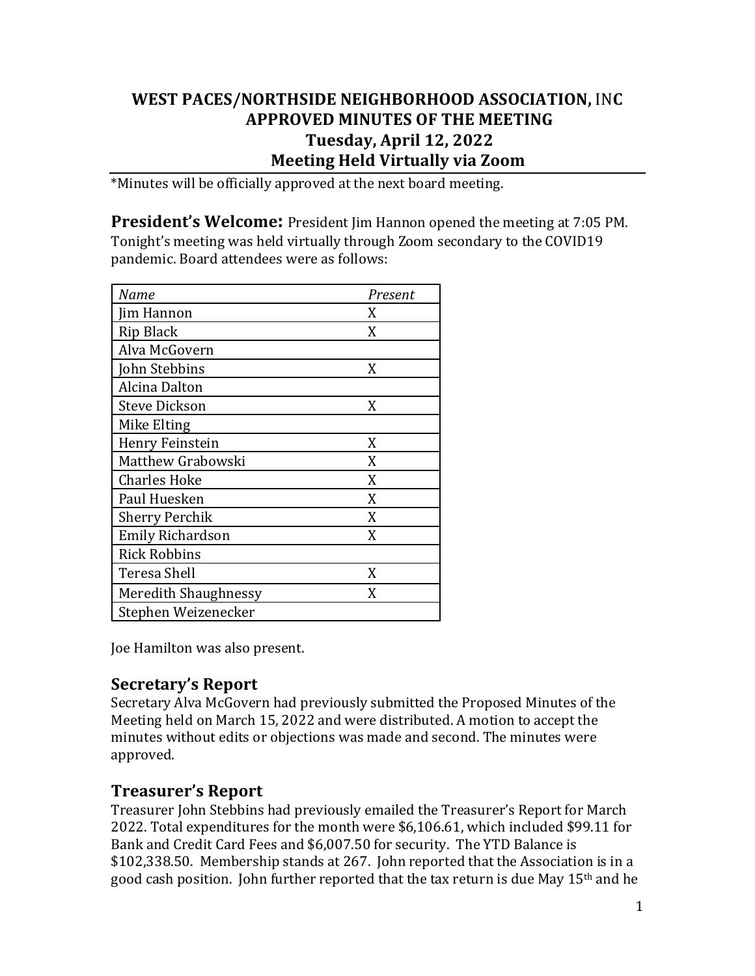## **WEST PACES/NORTHSIDE NEIGHBORHOOD ASSOCIATION,** IN**C APPROVED MINUTES OF THE MEETING Tuesday, April 12, 2022 Meeting Held Virtually via Zoom**

\*Minutes will be officially approved at the next board meeting.

**President's Welcome:** President Jim Hannon opened the meeting at 7:05 PM. Tonight's meeting was held virtually through Zoom secondary to the COVID19 pandemic. Board attendees were as follows:

| Name                        | Present |
|-----------------------------|---------|
| Jim Hannon                  | X       |
| Rip Black                   | X       |
| Alva McGovern               |         |
| John Stebbins               | X       |
| Alcina Dalton               |         |
| <b>Steve Dickson</b>        | X       |
| Mike Elting                 |         |
| Henry Feinstein             | X       |
| Matthew Grabowski           | X       |
| <b>Charles Hoke</b>         | X       |
| Paul Huesken                | X       |
| <b>Sherry Perchik</b>       | X       |
| <b>Emily Richardson</b>     | X       |
| <b>Rick Robbins</b>         |         |
| Teresa Shell                | X       |
| <b>Meredith Shaughnessy</b> | X       |
| Stephen Weizenecker         |         |

Joe Hamilton was also present.

# **Secretary's Report**

Secretary Alva McGovern had previously submitted the Proposed Minutes of the Meeting held on March 15, 2022 and were distributed. A motion to accept the minutes without edits or objections was made and second. The minutes were approved. 

## **Treasurer's Report**

Treasurer John Stebbins had previously emailed the Treasurer's Report for March 2022. Total expenditures for the month were \$6,106.61, which included \$99.11 for Bank and Credit Card Fees and \$6,007.50 for security. The YTD Balance is \$102,338.50. Membership stands at 267. John reported that the Association is in a good cash position. John further reported that the tax return is due May  $15<sup>th</sup>$  and he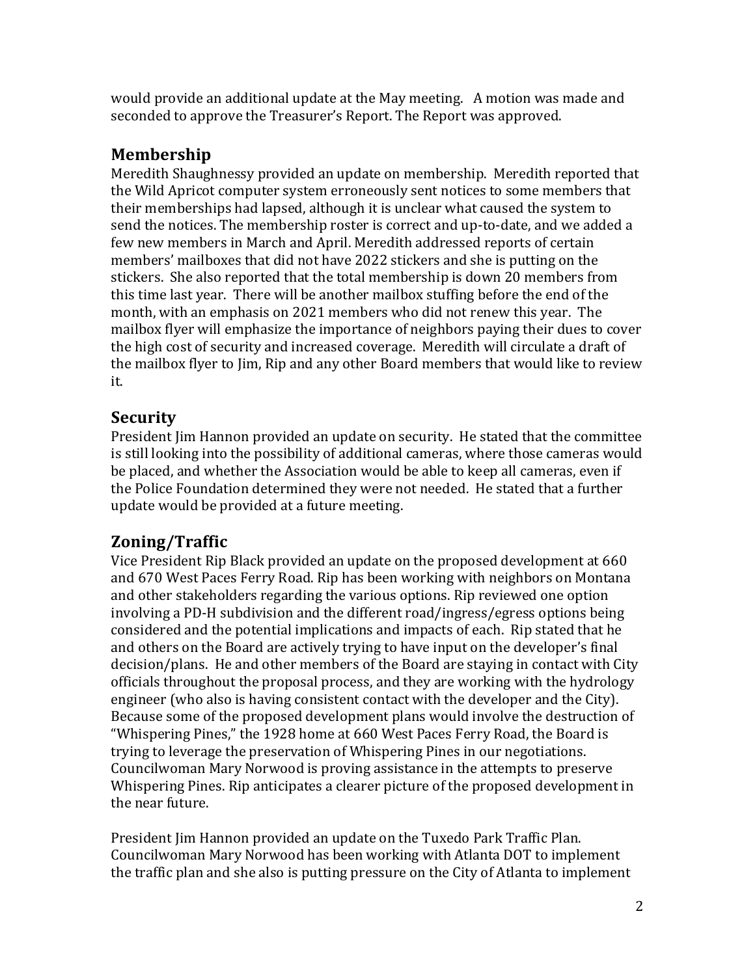would provide an additional update at the May meeting. A motion was made and seconded to approve the Treasurer's Report. The Report was approved.

# **Membership**

Meredith Shaughnessy provided an update on membership. Meredith reported that the Wild Apricot computer system erroneously sent notices to some members that their memberships had lapsed, although it is unclear what caused the system to send the notices. The membership roster is correct and up-to-date, and we added a few new members in March and April. Meredith addressed reports of certain members' mailboxes that did not have 2022 stickers and she is putting on the stickers. She also reported that the total membership is down 20 members from this time last year. There will be another mailbox stuffing before the end of the month, with an emphasis on 2021 members who did not renew this year. The mailbox flyer will emphasize the importance of neighbors paying their dues to cover the high cost of security and increased coverage. Meredith will circulate a draft of the mailbox flyer to Jim, Rip and any other Board members that would like to review it. 

# **Security**

President Jim Hannon provided an update on security. He stated that the committee is still looking into the possibility of additional cameras, where those cameras would be placed, and whether the Association would be able to keep all cameras, even if the Police Foundation determined they were not needed. He stated that a further update would be provided at a future meeting.

# **Zoning/Traffic**

Vice President Rip Black provided an update on the proposed development at 660 and 670 West Paces Ferry Road. Rip has been working with neighbors on Montana and other stakeholders regarding the various options. Rip reviewed one option involving a PD-H subdivision and the different road/ingress/egress options being considered and the potential implications and impacts of each. Rip stated that he and others on the Board are actively trying to have input on the developer's final decision/plans. He and other members of the Board are staying in contact with City officials throughout the proposal process, and they are working with the hydrology engineer (who also is having consistent contact with the developer and the City). Because some of the proposed development plans would involve the destruction of "Whispering Pines," the 1928 home at 660 West Paces Ferry Road, the Board is trying to leverage the preservation of Whispering Pines in our negotiations. Councilwoman Mary Norwood is proving assistance in the attempts to preserve Whispering Pines. Rip anticipates a clearer picture of the proposed development in the near future.

President Jim Hannon provided an update on the Tuxedo Park Traffic Plan. Councilwoman Mary Norwood has been working with Atlanta DOT to implement the traffic plan and she also is putting pressure on the City of Atlanta to implement